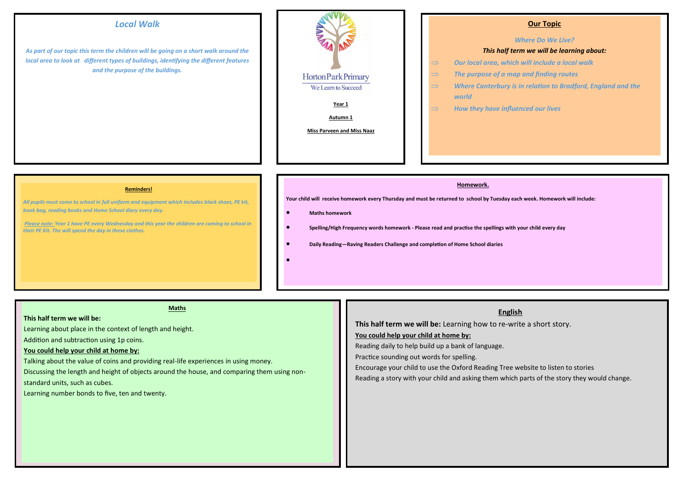# *Local Walk*

*As part of our topic this term the children will be going on a short walk around the local area to look at different types of buildings, identifying the different features and the purpose of the buildings.* 



### **Our Topic**

#### *Where Do We Live?*

### *This half term we will be learning about:*

- *Our local area, which will include a local walk*
- *The purpose of a map and finding routes*
- $\Rightarrow$  Where Canterbury is in relation to Bradford, England and the *world*
- $\Rightarrow$  How they have influenced our lives

#### **Reminders!**

*All pupils must come to school in full uniform and equipment which includes black shoes, PE kit, book bag, reading books and Home School diary every day.* 

 *Please note: Year 1 have PE every Wednesday and this year the children are coming to school in their PE Kit. The will spend the day in these clothes.* 

#### **Homework.**

**Your child will receive homework every Thursday and must be returned to school by Tuesday each week. Homework will include:** 

#### **Maths homework**

- **Spelling/High Frequency words homework - Please read and practise the spellings with your child every day**
- **Daily Reading—Raving Readers Challenge and completion of Home School diaries**
- $\bullet$

## **Maths**

## **This half term we will be:**

Learning about place in the context of length and height.

Addition and subtraction using 1p coins.

## **You could help your child at home by:**

Talking about the value of coins and providing real-life experiences in using money.

Discussing the length and height of objects around the house, and comparing them using non-

standard units, such as cubes.

Learning number bonds to five, ten and twenty.

## **English**

**This half term we will be:** Learning how to re-write a short story.

### **You could help your child at home by:**

Reading daily to help build up a bank of language.

Practice sounding out words for spelling.

Encourage your child to use the Oxford Reading Tree website to listen to stories

Reading a story with your child and asking them which parts of the story they would change.